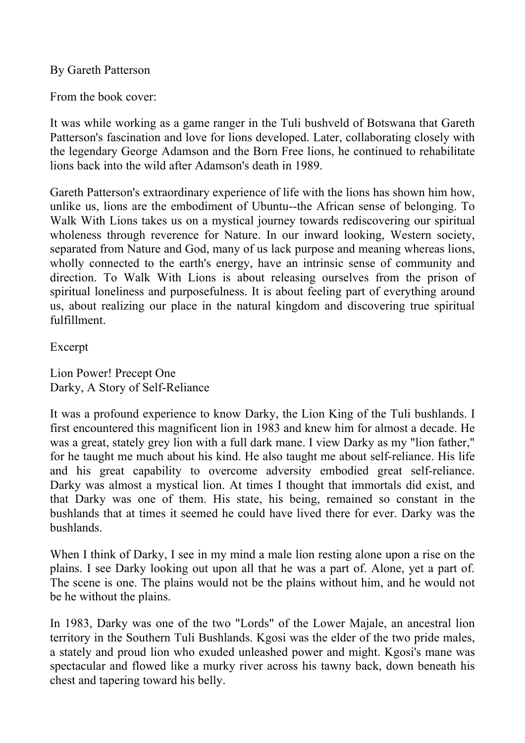## By Gareth Patterson

From the book cover:

It was while working as a game ranger in the Tuli bushveld of Botswana that Gareth Patterson's fascination and love for lions developed. Later, collaborating closely with the legendary George Adamson and the Born Free lions, he continued to rehabilitate lions back into the wild after Adamson's death in 1989.

Gareth Patterson's extraordinary experience of life with the lions has shown him how, unlike us, lions are the embodiment of Ubuntu--the African sense of belonging. To Walk With Lions takes us on a mystical journey towards rediscovering our spiritual wholeness through reverence for Nature. In our inward looking, Western society, separated from Nature and God, many of us lack purpose and meaning whereas lions, wholly connected to the earth's energy, have an intrinsic sense of community and direction. To Walk With Lions is about releasing ourselves from the prison of spiritual loneliness and purposefulness. It is about feeling part of everything around us, about realizing our place in the natural kingdom and discovering true spiritual fulfillment.

Excerpt

Lion Power! Precept One Darky, A Story of Self-Reliance

It was a profound experience to know Darky, the Lion King of the Tuli bushlands. I first encountered this magnificent lion in 1983 and knew him for almost a decade. He was a great, stately grey lion with a full dark mane. I view Darky as my "lion father," for he taught me much about his kind. He also taught me about self-reliance. His life and his great capability to overcome adversity embodied great self-reliance. Darky was almost a mystical lion. At times I thought that immortals did exist, and that Darky was one of them. His state, his being, remained so constant in the bushlands that at times it seemed he could have lived there for ever. Darky was the bushlands.

When I think of Darky, I see in my mind a male lion resting alone upon a rise on the plains. I see Darky looking out upon all that he was a part of. Alone, yet a part of. The scene is one. The plains would not be the plains without him, and he would not be he without the plains.

In 1983, Darky was one of the two "Lords" of the Lower Majale, an ancestral lion territory in the Southern Tuli Bushlands. Kgosi was the elder of the two pride males, a stately and proud lion who exuded unleashed power and might. Kgosi's mane was spectacular and flowed like a murky river across his tawny back, down beneath his chest and tapering toward his belly.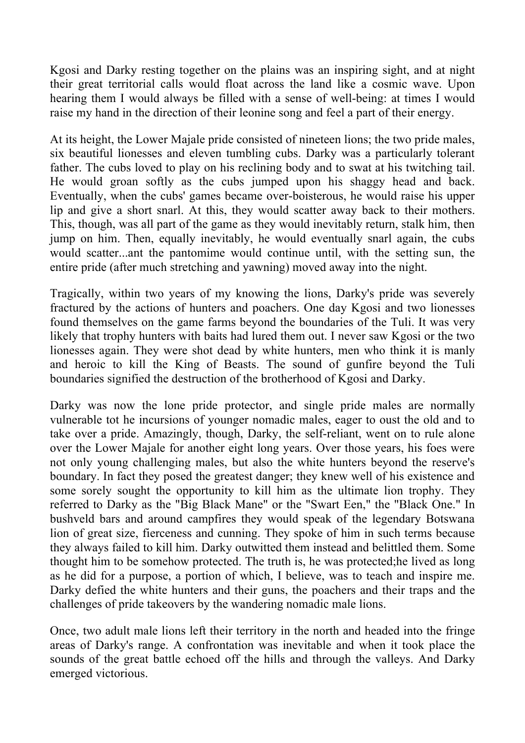Kgosi and Darky resting together on the plains was an inspiring sight, and at night their great territorial calls would float across the land like a cosmic wave. Upon hearing them I would always be filled with a sense of well-being: at times I would raise my hand in the direction of their leonine song and feel a part of their energy.

At its height, the Lower Majale pride consisted of nineteen lions; the two pride males, six beautiful lionesses and eleven tumbling cubs. Darky was a particularly tolerant father. The cubs loved to play on his reclining body and to swat at his twitching tail. He would groan softly as the cubs jumped upon his shaggy head and back. Eventually, when the cubs' games became over-boisterous, he would raise his upper lip and give a short snarl. At this, they would scatter away back to their mothers. This, though, was all part of the game as they would inevitably return, stalk him, then jump on him. Then, equally inevitably, he would eventually snarl again, the cubs would scatter...ant the pantomime would continue until, with the setting sun, the entire pride (after much stretching and yawning) moved away into the night.

Tragically, within two years of my knowing the lions, Darky's pride was severely fractured by the actions of hunters and poachers. One day Kgosi and two lionesses found themselves on the game farms beyond the boundaries of the Tuli. It was very likely that trophy hunters with baits had lured them out. I never saw Kgosi or the two lionesses again. They were shot dead by white hunters, men who think it is manly and heroic to kill the King of Beasts. The sound of gunfire beyond the Tuli boundaries signified the destruction of the brotherhood of Kgosi and Darky.

Darky was now the lone pride protector, and single pride males are normally vulnerable tot he incursions of younger nomadic males, eager to oust the old and to take over a pride. Amazingly, though, Darky, the self-reliant, went on to rule alone over the Lower Majale for another eight long years. Over those years, his foes were not only young challenging males, but also the white hunters beyond the reserve's boundary. In fact they posed the greatest danger; they knew well of his existence and some sorely sought the opportunity to kill him as the ultimate lion trophy. They referred to Darky as the "Big Black Mane" or the "Swart Een," the "Black One." In bushveld bars and around campfires they would speak of the legendary Botswana lion of great size, fierceness and cunning. They spoke of him in such terms because they always failed to kill him. Darky outwitted them instead and belittled them. Some thought him to be somehow protected. The truth is, he was protected;he lived as long as he did for a purpose, a portion of which, I believe, was to teach and inspire me. Darky defied the white hunters and their guns, the poachers and their traps and the challenges of pride takeovers by the wandering nomadic male lions.

Once, two adult male lions left their territory in the north and headed into the fringe areas of Darky's range. A confrontation was inevitable and when it took place the sounds of the great battle echoed off the hills and through the valleys. And Darky emerged victorious.